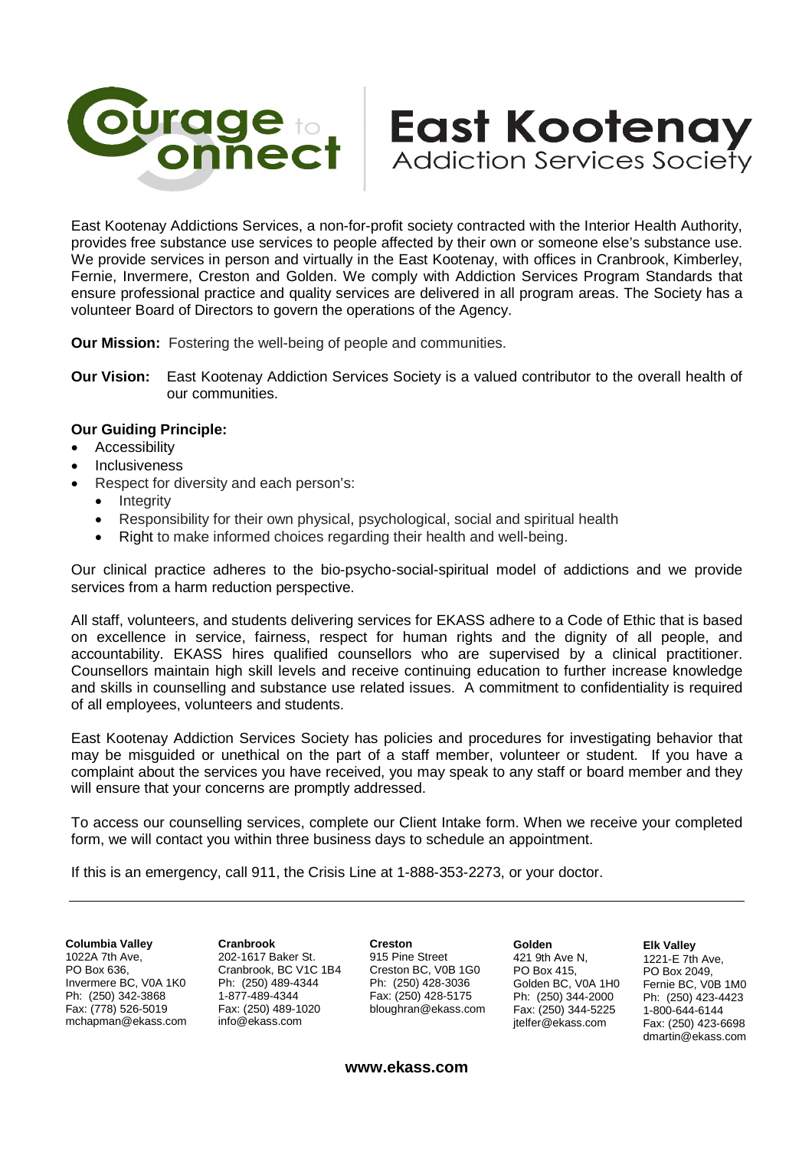

East Kootenay Addictions Services, a non-for-profit society contracted with the Interior Health Authority, provides free substance use services to people affected by their own or someone else's substance use. We provide services in person and virtually in the East Kootenay, with offices in Cranbrook, Kimberley, Fernie, Invermere, Creston and Golden. We comply with Addiction Services Program Standards that ensure professional practice and quality services are delivered in all program areas. The Society has a volunteer Board of Directors to govern the operations of the Agency.

**Our Mission:** Fostering the well-being of people and communities.

**Our Vision:** East Kootenay Addiction Services Society is a valued contributor to the overall health of our communities.

## **Our Guiding Principle:**

- Accessibility
- Inclusiveness
- Respect for diversity and each person's:
	- **Integrity**
	- Responsibility for their own physical, psychological, social and spiritual health
	- Right to make informed choices regarding their health and well-being.

Our clinical practice adheres to the bio-psycho-social-spiritual model of addictions and we provide services from a harm reduction perspective.

All staff, volunteers, and students delivering services for EKASS adhere to a Code of Ethic that is based on excellence in service, fairness, respect for human rights and the dignity of all people, and accountability. EKASS hires qualified counsellors who are supervised by a clinical practitioner. Counsellors maintain high skill levels and receive continuing education to further increase knowledge and skills in counselling and substance use related issues. A commitment to confidentiality is required of all employees, volunteers and students.

East Kootenay Addiction Services Society has policies and procedures for investigating behavior that may be misguided or unethical on the part of a staff member, volunteer or student. If you have a complaint about the services you have received, you may speak to any staff or board member and they will ensure that your concerns are promptly addressed.

To access our counselling services, complete our Client Intake form. When we receive your completed form, we will contact you within three business days to schedule an appointment.

If this is an emergency, call 911, the Crisis Line at 1-888-353-2273, or your doctor.

**Columbia Valley** 1022A 7th Ave, PO Box 636, Invermere BC, V0A 1K0 Ph: (250) 342-3868 Fax: (778) 526-5019 mchapman@ekass.com **Cranbrook** 202-1617 Baker St. Cranbrook, BC V1C 1B4 Ph: (250) 489-4344 1-877-489-4344 Fax: (250) 489-1020 info@ekass.com

**Creston** 915 Pine Street Creston BC, V0B 1G0 Ph: (250) 428-3036 Fax: (250) 428-5175 bloughran@ekass.com

**Golden** 421 9th Ave N, PO Box 415, Golden BC, V0A 1H0 Ph: (250) 344-2000 Fax: (250) 344-5225 jtelfer@ekass.com

**East Kootenay** 

**Addiction Services Society** 

**Elk Valley** 1221-E 7th Ave, PO Box 2049, Fernie BC, V0B 1M0 Ph: (250) 423-4423 1-800-644-6144 Fax: (250) 423-6698 dmartin@ekass.com

**www.ekass.com**